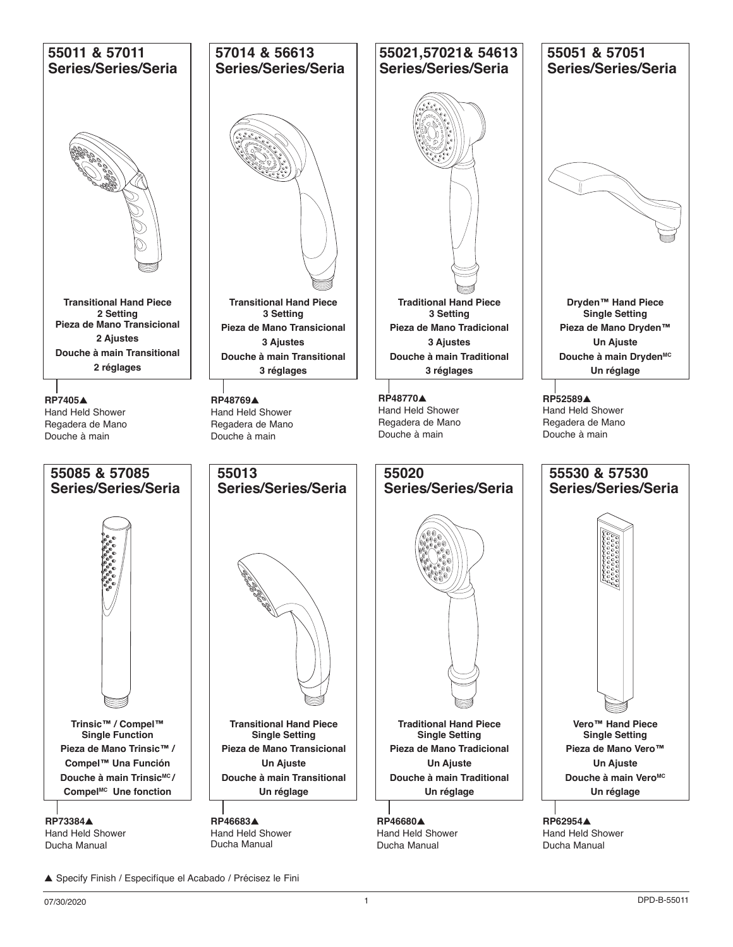

<sup>▲</sup> Specify Finish / Especifíque el Acabado / Précisez le Fini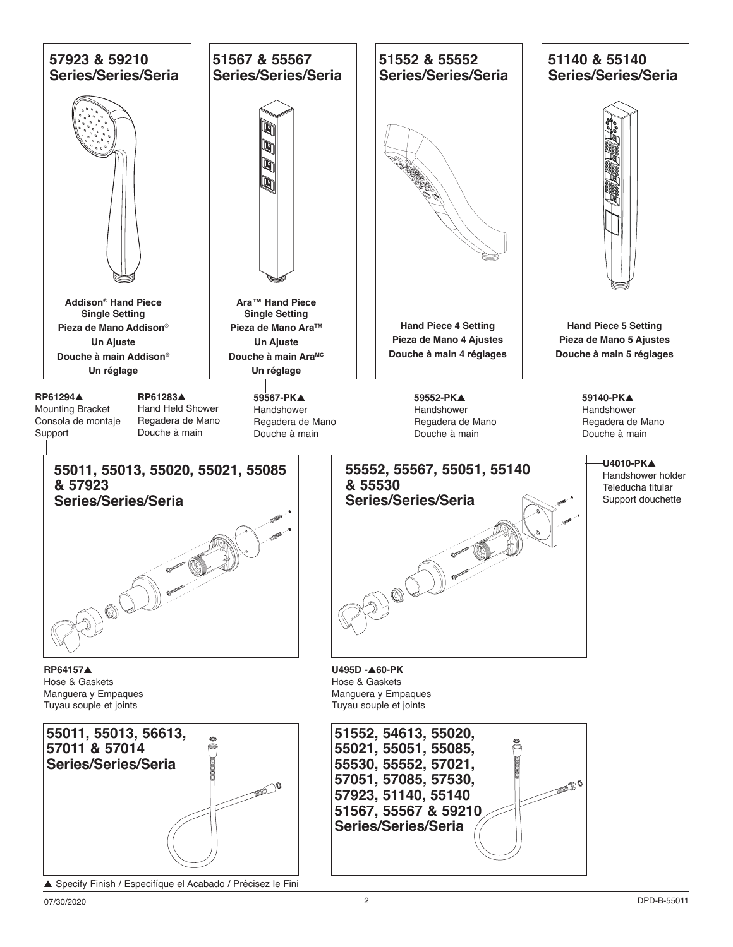